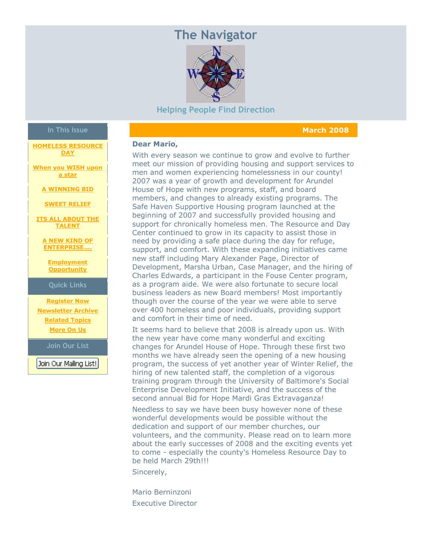# **The Navigator**



#### **Helping People Find Direction**

#### **March 2008**

#### **Dear Mario,**

With every season we continue to grow and evolve to further meet our mission of providing housing and support services to men and women experiencing homelessness in our county! 2007 was a year of growth and development for Arundel House of Hope with new programs, staff, and board members, and changes to already existing programs. The Safe Haven Supportive Housing program launched at the beginning of 2007 and successfully provided housing and support for chronically homeless men. The Resource and Day Center continued to grow in its capacity to assist those in need by providing a safe place during the day for refuge, support, and comfort. With these expanding initiatives came new staff including Mary Alexander Page, Director of Development, Marsha Urban, Case Manager, and the hiring of Charles Edwards, a participant in the Fouse Center program, as a program aide. We were also fortunate to secure local business leaders as new Board members! Most importantly though over the course of the year we were able to serve over 400 homeless and poor individuals, providing support and comfort in their time of need.

It seems hard to believe that 2008 is already upon us. With the new year have come many wonderful and exciting changes for Arundel House of Hope. Through these first two months we have already seen the opening of a new housing program, the success of yet another year of Winter Relief, the hiring of new talented staff, the completion of a vigorous training program through the University of Baltimore's Social Enterprise Development Initiative, and the success of the second annual Bid for Hope Mardi Gras Extravaganza!

Needless to say we have been busy however none of these wonderful developments would be possible without the dedication and support of our member churches, our volunteers, and the community. Please read on to learn more about the early successes of 2008 and the exciting events yet to come - especially the county's Homeless Resource Day to be held March 29th!!!

Sincerely,

Mario Berninzoni Executive Director

## **In This Issue**

**[HOMELESS RESOURCE](https://ui.constantcontact.com/visualeditor/visual_editor_preview.jsp?agent.uid=1101997862814&fromView=previewFromDetail&popin=true&previewFromDetail=true&previewFromSent=true&pageName=ecampaign.ve.edit#LETTER.BLOCK15) [DAY](https://ui.constantcontact.com/visualeditor/visual_editor_preview.jsp?agent.uid=1101997862814&fromView=previewFromDetail&popin=true&previewFromDetail=true&previewFromSent=true&pageName=ecampaign.ve.edit#LETTER.BLOCK15)**

**[When you WISH upon](https://ui.constantcontact.com/visualeditor/visual_editor_preview.jsp?agent.uid=1101997862814&fromView=previewFromDetail&popin=true&previewFromDetail=true&previewFromSent=true&pageName=ecampaign.ve.edit#LETTER.BLOCK8)  [a star](https://ui.constantcontact.com/visualeditor/visual_editor_preview.jsp?agent.uid=1101997862814&fromView=previewFromDetail&popin=true&previewFromDetail=true&previewFromSent=true&pageName=ecampaign.ve.edit#LETTER.BLOCK8)**

**[A WINNING BID](https://ui.constantcontact.com/visualeditor/visual_editor_preview.jsp?agent.uid=1101997862814&fromView=previewFromDetail&popin=true&previewFromDetail=true&previewFromSent=true&pageName=ecampaign.ve.edit#LETTER.BLOCK9)**

**[SWEET RELIEF](https://ui.constantcontact.com/visualeditor/visual_editor_preview.jsp?agent.uid=1101997862814&fromView=previewFromDetail&popin=true&previewFromDetail=true&previewFromSent=true&pageName=ecampaign.ve.edit#LETTER.BLOCK10)**

**[ITS ALL ABOUT THE](https://ui.constantcontact.com/visualeditor/visual_editor_preview.jsp?agent.uid=1101997862814&fromView=previewFromDetail&popin=true&previewFromDetail=true&previewFromSent=true&pageName=ecampaign.ve.edit#LETTER.BLOCK11)  [TALENT](https://ui.constantcontact.com/visualeditor/visual_editor_preview.jsp?agent.uid=1101997862814&fromView=previewFromDetail&popin=true&previewFromDetail=true&previewFromSent=true&pageName=ecampaign.ve.edit#LETTER.BLOCK11)**

**[A NEW KIND OF](https://ui.constantcontact.com/visualeditor/visual_editor_preview.jsp?agent.uid=1101997862814&fromView=previewFromDetail&popin=true&previewFromDetail=true&previewFromSent=true&pageName=ecampaign.ve.edit#LETTER.BLOCK12)  [ENTERPRISE....](https://ui.constantcontact.com/visualeditor/visual_editor_preview.jsp?agent.uid=1101997862814&fromView=previewFromDetail&popin=true&previewFromDetail=true&previewFromSent=true&pageName=ecampaign.ve.edit#LETTER.BLOCK12)**

**[Employment](https://ui.constantcontact.com/visualeditor/visual_editor_preview.jsp?agent.uid=1101997862814&fromView=previewFromDetail&popin=true&previewFromDetail=true&previewFromSent=true&pageName=ecampaign.ve.edit#LETTER.BLOCK16)  [Opportunity](https://ui.constantcontact.com/visualeditor/visual_editor_preview.jsp?agent.uid=1101997862814&fromView=previewFromDetail&popin=true&previewFromDetail=true&previewFromSent=true&pageName=ecampaign.ve.edit#LETTER.BLOCK16)**

**Quick Links**

**[Register Now](http://r20.rs6.net/tn.jsp?llr=ephtatbab&et=1101997862814&s=0&e=0011ueSj5fo2Q-cusbggWOsPZoYc7ZNIpANagOsD40_zl2oze-YVfWf24y1UTSfuKEf8U-McK36ZEvESBlsZg9fyPzrl6d3cSGJHoSo7PHf03G9y8Gbix-ZjA==) [Newsletter Archive](http://r20.rs6.net/tn.jsp?llr=ephtatbab&et=1101997862814&s=0&e=0011ueSj5fo2Q-cusbggWOsPZoYc7ZNIpANagOsD40_zl2oze-YVfWf24y1UTSfuKEf8U-McK36ZEvESBlsZg9fyPzrl6d3cSGJHoSo7PHf03G9y8Gbix-ZjA==) [Related Topics](http://r20.rs6.net/tn.jsp?llr=ephtatbab&et=1101997862814&s=0&e=0011ueSj5fo2Q-cusbggWOsPZoYc7ZNIpANagOsD40_zl2oze-YVfWf24y1UTSfuKEf8U-McK36ZEvESBlsZg9fyPzrl6d3cSGJHoSo7PHf03G9y8Gbix-ZjA==) [More On Us](http://r20.rs6.net/tn.jsp?llr=ephtatbab&et=1101997862814&s=0&e=0011ueSj5fo2Q-cusbggWOsPZoYc7ZNIpANagOsD40_zl2oze-YVfWf24y1UTSfuKEf8U-McK36ZEvESBlsZg9fyPzrl6d3cSGJHoSo7PHf03G9y8Gbix-ZjA==)**

**Join Our List**

Join Our Mailing List!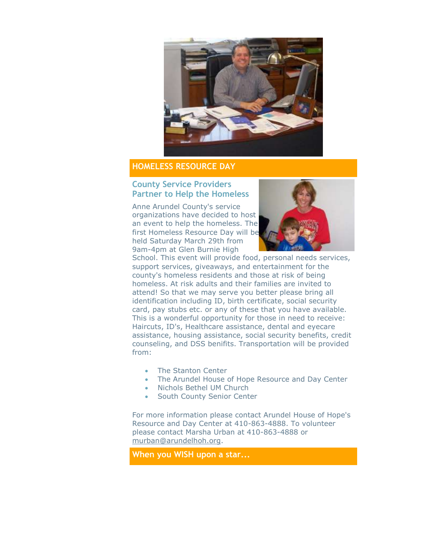

## **HOMELESS RESOURCE DAY**

#### **County Service Providers Partner to Help the Homeless**

Anne Arundel County's service organizations have decided to host an event to help the homeless. The first Homeless Resource Day will be held Saturday March 29th from 9am-4pm at Glen Burnie High



School. This event will provide food, personal needs services, support services, giveaways, and entertainment for the county's homeless residents and those at risk of being homeless. At risk adults and their families are invited to attend! So that we may serve you better please bring all identification including ID, birth certificate, social security card, pay stubs etc. or any of these that you have available. This is a wonderful opportunity for those in need to receive: Haircuts, ID's, Healthcare assistance, dental and eyecare assistance, housing assistance, social security benefits, credit counseling, and DSS benifits. Transportation will be provided from:

- The Stanton Center
- The Arundel House of Hope Resource and Day Center
- Nichols Bethel UM Church
- South County Senior Center

For more information please contact Arundel House of Hope's Resource and Day Center at 410-863-4888. To volunteer please contact Marsha Urban at 410-863-4888 or [murban@arundelhoh.org.](mailto:murban@arundelhoh.org)

**When you WISH upon a star...**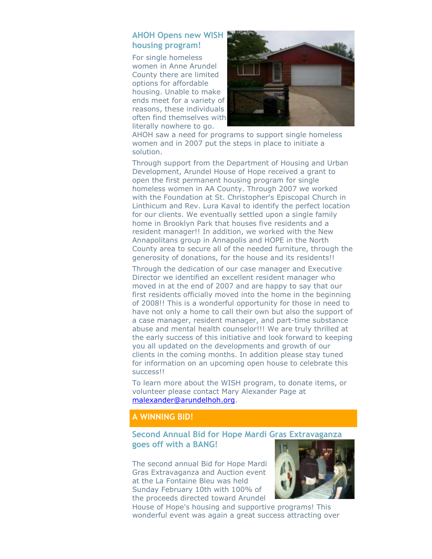### **AHOH Opens new WISH housing program!**

For single homeless women in Anne Arundel County there are limited options for affordable housing. Unable to make ends meet for a variety of reasons, these individuals often find themselves with literally nowhere to go.



AHOH saw a need for programs to support single homeless women and in 2007 put the steps in place to initiate a solution.

Through support from the Department of Housing and Urban Development, Arundel House of Hope received a grant to open the first permanent housing program for single homeless women in AA County. Through 2007 we worked with the Foundation at St. Christopher's Episcopal Church in Linthicum and Rev. Lura Kaval to identify the perfect location for our clients. We eventually settled upon a single family home in Brooklyn Park that houses five residents and a resident manager!! In addition, we worked with the New Annapolitans group in Annapolis and HOPE in the North County area to secure all of the needed furniture, through the generosity of donations, for the house and its residents!!

Through the dedication of our case manager and Executive Director we identified an excellent resident manager who moved in at the end of 2007 and are happy to say that our first residents officially moved into the home in the beginning of 2008!! This is a wonderful opportunity for those in need to have not only a home to call their own but also the support of a case manager, resident manager, and part-time substance abuse and mental health counselor!!! We are truly thrilled at the early success of this initiative and look forward to keeping you all updated on the developments and growth of our clients in the coming months. In addition please stay tuned for information on an upcoming open house to celebrate this success!!

To learn more about the WISH program, to donate items, or volunteer please contact Mary Alexander Page at [malexander@arundelhoh.org.](mailto:malexander@arundelhoh.org)

## **A WINNING BID!**

## **Second Annual Bid for Hope Mardi Gras Extravaganza goes off with a BANG!**

The second annual Bid for Hope Mardi Gras Extravaganza and Auction event at the La Fontaine Bleu was held Sunday February 10th with 100% of the proceeds directed toward Arundel



House of Hope's housing and supportive programs! This wonderful event was again a great success attracting over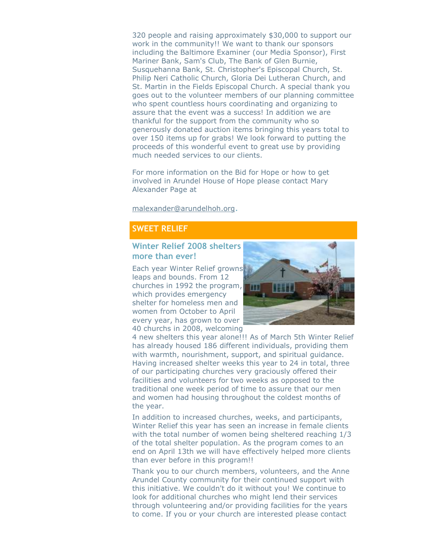320 people and raising approximately \$30,000 to support our work in the community!! We want to thank our sponsors including the Baltimore Examiner (our Media Sponsor), First Mariner Bank, Sam's Club, The Bank of Glen Burnie, Susquehanna Bank, St. Christopher's Episcopal Church, St. Philip Neri Catholic Church, Gloria Dei Lutheran Church, and St. Martin in the Fields Episcopal Church. A special thank you goes out to the volunteer members of our planning committee who spent countless hours coordinating and organizing to assure that the event was a success! In addition we are thankful for the support from the community who so generously donated auction items bringing this years total to over 150 items up for grabs! We look forward to putting the proceeds of this wonderful event to great use by providing much needed services to our clients.

For more information on the Bid for Hope or how to get involved in Arundel House of Hope please contact Mary Alexander Page at

[malexander@arundelhoh.org](mailto:malexander@arundelhoh.org).

### **SWEET RELIEF**

#### **Winter Relief 2008 shelters more than ever!**

Each year Winter Relief growns leaps and bounds. From 12 churches in 1992 the program, which provides emergency shelter for homeless men and women from October to April every year, has grown to over 40 churchs in 2008, welcoming



4 new shelters this year alone!!! As of March 5th Winter Relief has already housed 186 different individuals, providing them with warmth, nourishment, support, and spiritual guidance. Having increased shelter weeks this year to 24 in total, three of our participating churches very graciously offered their facilities and volunteers for two weeks as opposed to the traditional one week period of time to assure that our men and women had housing throughout the coldest months of the year.

In addition to increased churches, weeks, and participants, Winter Relief this year has seen an increase in female clients with the total number of women being sheltered reaching 1/3 of the total shelter population. As the program comes to an end on April 13th we will have effectively helped more clients than ever before in this program!!

Thank you to our church members, volunteers, and the Anne Arundel County community for their continued support with this initiative. We couldn't do it without you! We continue to look for additional churches who might lend their services through volunteering and/or providing facilities for the years to come. If you or your church are interested please contact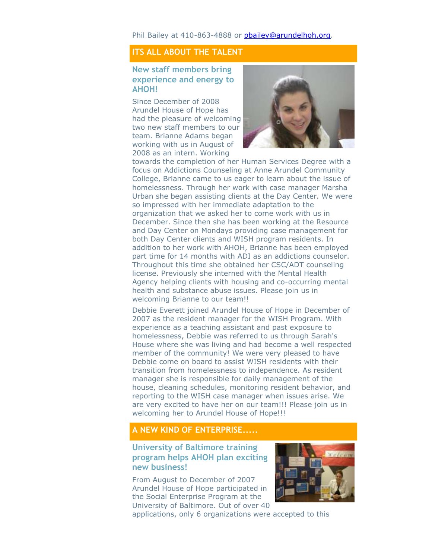Phil Bailey at 410-863-4888 or [pbailey@arundelhoh.org.](mailto:pbailey@arundelhoh.org)

## **ITS ALL ABOUT THE TALENT**

#### **New staff members bring experience and energy to AHOH!**

Since December of 2008 Arundel House of Hope has had the pleasure of welcoming two new staff members to our team. Brianne Adams began working with us in August of 2008 as an intern. Working



towards the completion of her Human Services Degree with a focus on Addictions Counseling at Anne Arundel Community College, Brianne came to us eager to learn about the issue of homelessness. Through her work with case manager Marsha Urban she began assisting clients at the Day Center. We were so impressed with her immediate adaptation to the organization that we asked her to come work with us in December. Since then she has been working at the Resource and Day Center on Mondays providing case management for both Day Center clients and WISH program residents. In addition to her work with AHOH, Brianne has been employed part time for 14 months with ADI as an addictions counselor. Throughout this time she obtained her CSC/ADT counseling license. Previously she interned with the Mental Health Agency helping clients with housing and co-occurring mental health and substance abuse issues. Please join us in welcoming Brianne to our team!!

Debbie Everett joined Arundel House of Hope in December of 2007 as the resident manager for the WISH Program. With experience as a teaching assistant and past exposure to homelessness, Debbie was referred to us through Sarah's House where she was living and had become a well respected member of the community! We were very pleased to have Debbie come on board to assist WISH residents with their transition from homelessness to independence. As resident manager she is responsible for daily management of the house, cleaning schedules, monitoring resident behavior, and reporting to the WISH case manager when issues arise. We are very excited to have her on our team!!! Please join us in welcoming her to Arundel House of Hope!!!

#### **A NEW KIND OF ENTERPRISE.....**

#### **University of Baltimore training program helps AHOH plan exciting new business!**

From August to December of 2007 Arundel House of Hope participated in the Social Enterprise Program at the University of Baltimore. Out of over 40



applications, only 6 organizations were accepted to this